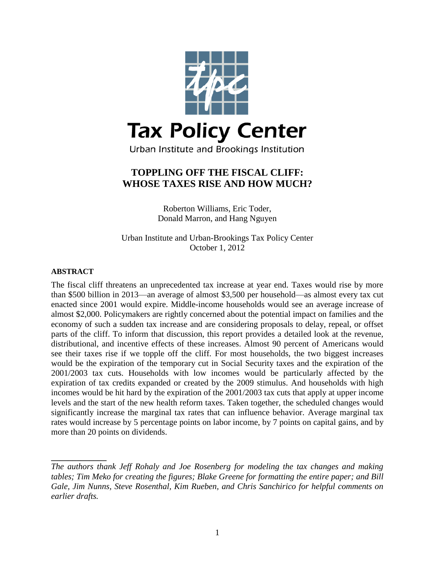

# **TOPPLING OFF THE FISCAL CLIFF: WHOSE TAXES RISE AND HOW MUCH?**

Roberton Williams, Eric Toder, Donald Marron, and Hang Nguyen

Urban Institute and Urban-Brookings Tax Policy Center October 1, 2012

## **ABSTRACT**

**\_\_\_\_\_\_\_\_\_\_\_\_\_**

The fiscal cliff threatens an unprecedented tax increase at year end. Taxes would rise by more than \$500 billion in 2013—an average of almost \$3,500 per household—as almost every tax cut enacted since 2001 would expire. Middle-income households would see an average increase of almost \$2,000. Policymakers are rightly concerned about the potential impact on families and the economy of such a sudden tax increase and are considering proposals to delay, repeal, or offset parts of the cliff. To inform that discussion, this report provides a detailed look at the revenue, distributional, and incentive effects of these increases. Almost 90 percent of Americans would see their taxes rise if we topple off the cliff. For most households, the two biggest increases would be the expiration of the temporary cut in Social Security taxes and the expiration of the 2001/2003 tax cuts. Households with low incomes would be particularly affected by the expiration of tax credits expanded or created by the 2009 stimulus. And households with high incomes would be hit hard by the expiration of the 2001/2003 tax cuts that apply at upper income levels and the start of the new health reform taxes. Taken together, the scheduled changes would significantly increase the marginal tax rates that can influence behavior. Average marginal tax rates would increase by 5 percentage points on labor income, by 7 points on capital gains, and by more than 20 points on dividends.

*The authors thank Jeff Rohaly and Joe Rosenberg for modeling the tax changes and making tables; Tim Meko for creating the figures; Blake Greene for formatting the entire paper; and Bill Gale, Jim Nunns, Steve Rosenthal, Kim Rueben, and Chris Sanchirico for helpful comments on earlier drafts.*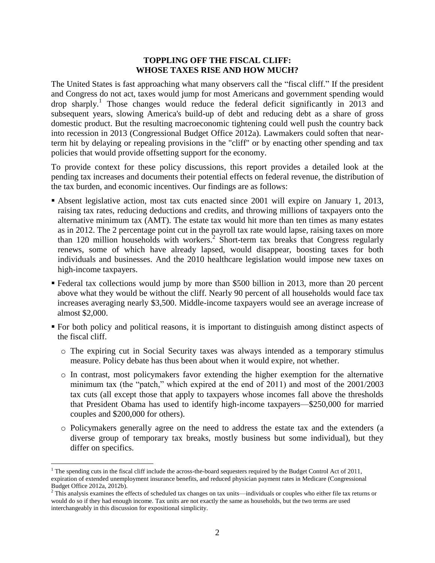## **TOPPLING OFF THE FISCAL CLIFF: WHOSE TAXES RISE AND HOW MUCH?**

The United States is fast approaching what many observers call the "fiscal cliff." If the president and Congress do not act, taxes would jump for most Americans and government spending would drop sharply.<sup>1</sup> Those changes would reduce the federal deficit significantly in 2013 and subsequent years, slowing America's build-up of debt and reducing debt as a share of gross domestic product. But the resulting macroeconomic tightening could well push the country back into recession in 2013 (Congressional Budget Office 2012a). Lawmakers could soften that nearterm hit by delaying or repealing provisions in the "cliff" or by enacting other spending and tax policies that would provide offsetting support for the economy.

To provide context for these policy discussions, this report provides a detailed look at the pending tax increases and documents their potential effects on federal revenue, the distribution of the tax burden, and economic incentives. Our findings are as follows:

- Absent legislative action, most tax cuts enacted since 2001 will expire on January 1, 2013, raising tax rates, reducing deductions and credits, and throwing millions of taxpayers onto the alternative minimum tax (AMT). The estate tax would hit more than ten times as many estates as in 2012. The 2 percentage point cut in the payroll tax rate would lapse, raising taxes on more than 120 million households with workers.<sup>2</sup> Short-term tax breaks that Congress regularly renews, some of which have already lapsed, would disappear, boosting taxes for both individuals and businesses. And the 2010 healthcare legislation would impose new taxes on high-income taxpayers.
- Federal tax collections would jump by more than \$500 billion in 2013, more than 20 percent above what they would be without the cliff. Nearly 90 percent of all households would face tax increases averaging nearly \$3,500. Middle-income taxpayers would see an average increase of almost \$2,000.
- For both policy and political reasons, it is important to distinguish among distinct aspects of the fiscal cliff.
	- o The expiring cut in Social Security taxes was always intended as a temporary stimulus measure. Policy debate has thus been about when it would expire, not whether.
	- o In contrast, most policymakers favor extending the higher exemption for the alternative minimum tax (the "patch," which expired at the end of 2011) and most of the 2001/2003 tax cuts (all except those that apply to taxpayers whose incomes fall above the thresholds that President Obama has used to identify high-income taxpayers—\$250,000 for married couples and \$200,000 for others).
	- o Policymakers generally agree on the need to address the estate tax and the extenders (a diverse group of temporary tax breaks, mostly business but some individual), but they differ on specifics.

 $\overline{a}$ 

<sup>&</sup>lt;sup>1</sup> The spending cuts in the fiscal cliff include the across-the-board sequesters required by the Budget Control Act of 2011, expiration of extended unemployment insurance benefits, and reduced physician payment rates in Medicare (Congressional Budget Office 2012a, 2012b).

<sup>&</sup>lt;sup>2</sup> This analysis examines the effects of scheduled tax changes on tax units—individuals or couples who either file tax returns or would do so if they had enough income. Tax units are not exactly the same as households, but the two terms are used interchangeably in this discussion for expositional simplicity.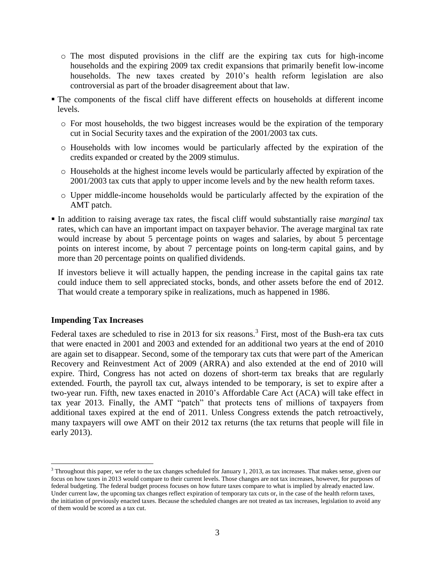- o The most disputed provisions in the cliff are the expiring tax cuts for high-income households and the expiring 2009 tax credit expansions that primarily benefit low-income households. The new taxes created by 2010's health reform legislation are also controversial as part of the broader disagreement about that law.
- The components of the fiscal cliff have different effects on households at different income levels.
	- o For most households, the two biggest increases would be the expiration of the temporary cut in Social Security taxes and the expiration of the 2001/2003 tax cuts.
	- o Households with low incomes would be particularly affected by the expiration of the credits expanded or created by the 2009 stimulus.
	- o Households at the highest income levels would be particularly affected by expiration of the 2001/2003 tax cuts that apply to upper income levels and by the new health reform taxes.
	- o Upper middle-income households would be particularly affected by the expiration of the AMT patch.
- In addition to raising average tax rates, the fiscal cliff would substantially raise *marginal* tax rates, which can have an important impact on taxpayer behavior. The average marginal tax rate would increase by about 5 percentage points on wages and salaries, by about 5 percentage points on interest income, by about 7 percentage points on long-term capital gains, and by more than 20 percentage points on qualified dividends.

If investors believe it will actually happen, the pending increase in the capital gains tax rate could induce them to sell appreciated stocks, bonds, and other assets before the end of 2012. That would create a temporary spike in realizations, much as happened in 1986.

## **Impending Tax Increases**

 $\overline{a}$ 

Federal taxes are scheduled to rise in 2013 for six reasons.<sup>3</sup> First, most of the Bush-era tax cuts that were enacted in 2001 and 2003 and extended for an additional two years at the end of 2010 are again set to disappear. Second, some of the temporary tax cuts that were part of the American Recovery and Reinvestment Act of 2009 (ARRA) and also extended at the end of 2010 will expire. Third, Congress has not acted on dozens of short-term tax breaks that are regularly extended. Fourth, the payroll tax cut, always intended to be temporary, is set to expire after a two-year run. Fifth, new taxes enacted in 2010's Affordable Care Act (ACA) will take effect in tax year 2013. Finally, the AMT "patch" that protects tens of millions of taxpayers from additional taxes expired at the end of 2011. Unless Congress extends the patch retroactively, many taxpayers will owe AMT on their 2012 tax returns (the tax returns that people will file in early 2013).

 $3$  Throughout this paper, we refer to the tax changes scheduled for January 1, 2013, as tax increases. That makes sense, given our focus on how taxes in 2013 would compare to their current levels. Those changes are not tax increases, however, for purposes of federal budgeting. The federal budget process focuses on how future taxes compare to what is implied by already enacted law. Under current law, the upcoming tax changes reflect expiration of temporary tax cuts or, in the case of the health reform taxes, the initiation of previously enacted taxes. Because the scheduled changes are not treated as tax increases, legislation to avoid any of them would be scored as a tax cut.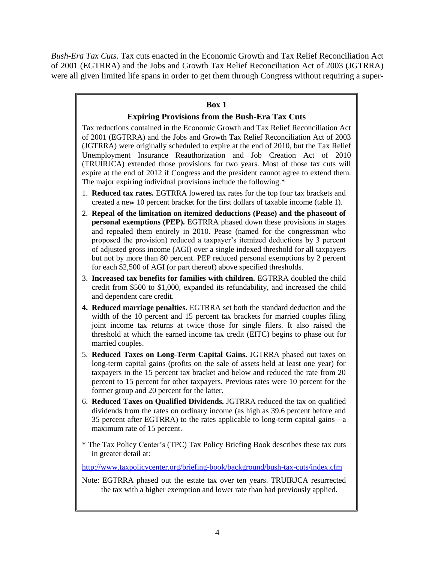*Bush-Era Tax Cuts*. Tax cuts enacted in the Economic Growth and Tax Relief Reconciliation Act of 2001 (EGTRRA) and the Jobs and Growth Tax Relief Reconciliation Act of 2003 (JGTRRA) were all given limited life spans in order to get them through Congress without requiring a super-

## **Box 1**

## **Expiring Provisions from the Bush-Era Tax Cuts**

Tax reductions contained in the Economic Growth and Tax Relief Reconciliation Act of 2001 (EGTRRA) and the Jobs and Growth Tax Relief Reconciliation Act of 2003 (JGTRRA) were originally scheduled to expire at the end of 2010, but the Tax Relief Unemployment Insurance Reauthorization and Job Creation Act of 2010 (TRUIRJCA) extended those provisions for two years. Most of those tax cuts will expire at the end of 2012 if Congress and the president cannot agree to extend them. The major expiring individual provisions include the following.\*

- 1. **Reduced tax rates.** EGTRRA lowered tax rates for the top four tax brackets and created a new 10 percent bracket for the first dollars of taxable income (table 1).
- 2. **Repeal of the limitation on itemized deductions (Pease) and the phaseout of personal exemptions (PEP).** EGTRRA phased down these provisions in stages and repealed them entirely in 2010. Pease (named for the congressman who proposed the provision) reduced a taxpayer's itemized deductions by 3 percent of adjusted gross income (AGI) over a single indexed threshold for all taxpayers but not by more than 80 percent. PEP reduced personal exemptions by 2 percent for each \$2,500 of AGI (or part thereof) above specified thresholds.
- 3. **Increased tax benefits for families with children.** EGTRRA doubled the child credit from \$500 to \$1,000, expanded its refundability, and increased the child and dependent care credit.
- **4. Reduced marriage penalties.** EGTRRA set both the standard deduction and the width of the 10 percent and 15 percent tax brackets for married couples filing joint income tax returns at twice those for single filers. It also raised the threshold at which the earned income tax credit (EITC) begins to phase out for married couples.
- 5. **Reduced Taxes on Long-Term Capital Gains.** JGTRRA phased out taxes on long-term capital gains (profits on the sale of assets held at least one year) for taxpayers in the 15 percent tax bracket and below and reduced the rate from 20 percent to 15 percent for other taxpayers. Previous rates were 10 percent for the former group and 20 percent for the latter.
- 6. **Reduced Taxes on Qualified Dividends.** JGTRRA reduced the tax on qualified dividends from the rates on ordinary income (as high as 39.6 percent before and 35 percent after EGTRRA) to the rates applicable to long-term capital gains—a maximum rate of 15 percent.
- \* The Tax Policy Center's (TPC) Tax Policy Briefing Book describes these tax cuts in greater detail at:

<http://www.taxpolicycenter.org/briefing-book/background/bush-tax-cuts/index.cfm>

Note: EGTRRA phased out the estate tax over ten years. TRUIRJCA resurrected the tax with a higher exemption and lower rate than had previously applied.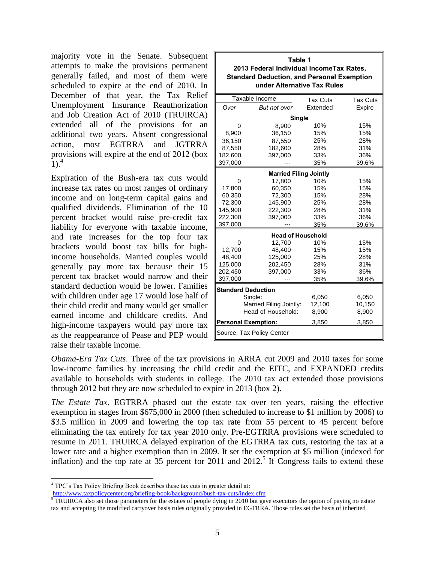majority vote in the Senate. Subsequent attempts to make the provisions permanent generally failed, and most of them were scheduled to expire at the end of 2010. In December of that year, the Tax Relief Unemployment Insurance Reauthorization and Job Creation Act of 2010 (TRUIRCA) extended all of the provisions for an additional two years. Absent congressional action, most EGTRRA and JGTRRA provisions will expire at the end of 2012 (box  $1)$ .<sup>4</sup>

Expiration of the Bush-era tax cuts would increase tax rates on most ranges of ordinary income and on long-term capital gains and qualified dividends. Elimination of the 10 percent bracket would raise pre-credit tax liability for everyone with taxable income, and rate increases for the top four tax brackets would boost tax bills for highincome households. Married couples would generally pay more tax because their 15 percent tax bracket would narrow and their standard deduction would be lower. Families with children under age 17 would lose half of their child credit and many would get smaller earned income and childcare credits. And high-income taxpayers would pay more tax as the reappearance of Pease and PEP would raise their taxable income.

| Table 1                                                                          |                            |          |        |  |  |  |  |  |  |
|----------------------------------------------------------------------------------|----------------------------|----------|--------|--|--|--|--|--|--|
| 2013 Federal Individual IncomeTax Rates,                                         |                            |          |        |  |  |  |  |  |  |
| <b>Standard Deduction, and Personal Exemption</b><br>under Alternative Tax Rules |                            |          |        |  |  |  |  |  |  |
|                                                                                  |                            |          |        |  |  |  |  |  |  |
| Taxable Income<br><b>Tax Cuts</b><br><b>Tax Cuts</b>                             |                            |          |        |  |  |  |  |  |  |
| Over                                                                             | But not over               | Extended | Expire |  |  |  |  |  |  |
| Single                                                                           |                            |          |        |  |  |  |  |  |  |
| 0                                                                                | 8,900                      | 10%      | 15%    |  |  |  |  |  |  |
| 8,900                                                                            | 36,150                     | 15%      | 15%    |  |  |  |  |  |  |
| 36,150                                                                           | 87,550                     | 25%      | 28%    |  |  |  |  |  |  |
| 87,550                                                                           | 182,600                    | 28%      | 31%    |  |  |  |  |  |  |
| 182,600                                                                          | 397,000                    | 33%      | 36%    |  |  |  |  |  |  |
| 397,000                                                                          |                            | 35%      | 39.6%  |  |  |  |  |  |  |
| <b>Married Filing Jointly</b>                                                    |                            |          |        |  |  |  |  |  |  |
| 0                                                                                | 17,800                     | 10%      | 15%    |  |  |  |  |  |  |
| 17,800                                                                           | 60.350                     | 15%      | 15%    |  |  |  |  |  |  |
| 60,350                                                                           | 72,300                     | 15%      | 28%    |  |  |  |  |  |  |
| 72,300                                                                           | 145,900                    | 25%      | 28%    |  |  |  |  |  |  |
| 145,900                                                                          | 222,300                    | 28%      | 31%    |  |  |  |  |  |  |
| 222,300                                                                          | 397,000                    | 33%      | 36%    |  |  |  |  |  |  |
| 397,000                                                                          |                            | 35%      | 39.6%  |  |  |  |  |  |  |
|                                                                                  | <b>Head of Household</b>   |          |        |  |  |  |  |  |  |
| 0                                                                                | 12,700                     | 10%      | 15%    |  |  |  |  |  |  |
| 12,700                                                                           | 48,400                     | 15%      | 15%    |  |  |  |  |  |  |
| 48,400                                                                           | 125,000                    | 25%      | 28%    |  |  |  |  |  |  |
| 125,000                                                                          | 202,450                    | 28%      | 31%    |  |  |  |  |  |  |
| 202,450                                                                          | 397,000                    | 33%      | 36%    |  |  |  |  |  |  |
| 397,000                                                                          |                            | 35%      | 39.6%  |  |  |  |  |  |  |
|                                                                                  | <b>Standard Deduction</b>  |          |        |  |  |  |  |  |  |
|                                                                                  | Single:                    | 6,050    | 6,050  |  |  |  |  |  |  |
|                                                                                  | Married Filing Jointly:    | 12,100   | 10,150 |  |  |  |  |  |  |
|                                                                                  | Head of Household:         | 8,900    | 8,900  |  |  |  |  |  |  |
|                                                                                  | <b>Personal Exemption:</b> | 3,850    | 3,850  |  |  |  |  |  |  |
|                                                                                  | Source: Tax Policy Center  |          |        |  |  |  |  |  |  |

*Obama-Era Tax Cuts*. Three of the tax provisions in ARRA cut 2009 and 2010 taxes for some low-income families by increasing the child credit and the EITC, and EXPANDED credits available to households with students in college. The 2010 tax act extended those provisions through 2012 but they are now scheduled to expire in 2013 (box 2).

*The Estate Tax*. EGTRRA phased out the estate tax over ten years, raising the effective exemption in stages from \$675,000 in 2000 (then scheduled to increase to \$1 million by 2006) to \$3.5 million in 2009 and lowering the top tax rate from 55 percent to 45 percent before eliminating the tax entirely for tax year 2010 only. Pre-EGTRRA provisions were scheduled to resume in 2011. TRUIRCA delayed expiration of the EGTRRA tax cuts, restoring the tax at a lower rate and a higher exemption than in 2009. It set the exemption at \$5 million (indexed for inflation) and the top rate at  $35$  percent for 2011 and  $2012$ <sup>5</sup> If Congress fails to extend these

 $\overline{a}$ 

<http://www.taxpolicycenter.org/briefing-book/background/bush-tax-cuts/index.cfm>

<sup>4</sup> TPC's Tax Policy Briefing Book describes these tax cuts in greater detail at:

 $5$  TRUIRCA also set those parameters for the estates of people dying in 2010 but gave executors the option of paying no estate tax and accepting the modified carryover basis rules originally provided in EGTRRA. Those rules set the basis of inherited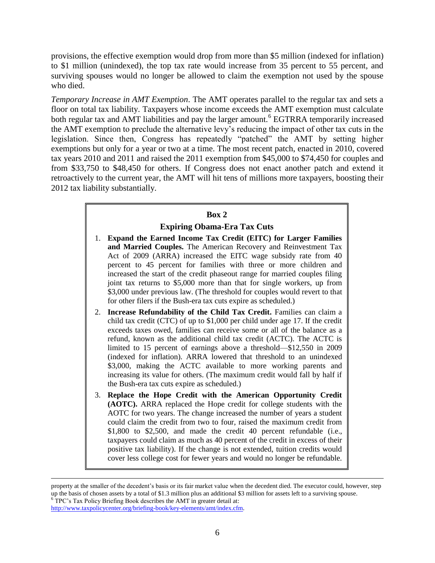provisions, the effective exemption would drop from more than \$5 million (indexed for inflation) to \$1 million (unindexed), the top tax rate would increase from 35 percent to 55 percent, and surviving spouses would no longer be allowed to claim the exemption not used by the spouse who died.

*Temporary Increase in AMT Exemption*. The AMT operates parallel to the regular tax and sets a floor on total tax liability. Taxpayers whose income exceeds the AMT exemption must calculate both regular tax and AMT liabilities and pay the larger amount.<sup>6</sup> EGTRRA temporarily increased the AMT exemption to preclude the alternative levy's reducing the impact of other tax cuts in the legislation. Since then, Congress has repeatedly "patched" the AMT by setting higher exemptions but only for a year or two at a time. The most recent patch, enacted in 2010, covered tax years 2010 and 2011 and raised the 2011 exemption from \$45,000 to \$74,450 for couples and from \$33,750 to \$48,450 for others. If Congress does not enact another patch and extend it retroactively to the current year, the AMT will hit tens of millions more taxpayers, boosting their 2012 tax liability substantially.

# **Box 2**

## **Expiring Obama-Era Tax Cuts**

- 1. **Expand the Earned Income Tax Credit (EITC) for Larger Families and Married Couples.** The American Recovery and Reinvestment Tax Act of 2009 (ARRA) increased the EITC wage subsidy rate from 40 percent to 45 percent for families with three or more children and increased the start of the credit phaseout range for married couples filing joint tax returns to \$5,000 more than that for single workers, up from \$3,000 under previous law. (The threshold for couples would revert to that for other filers if the Bush-era tax cuts expire as scheduled.)
- 2. **Increase Refundability of the Child Tax Credit.** Families can claim a child tax credit (CTC) of up to \$1,000 per child under age 17. If the credit exceeds taxes owed, families can receive some or all of the balance as a refund, known as the additional child tax credit (ACTC). The ACTC is limited to 15 percent of earnings above a threshold—\$12,550 in 2009 (indexed for inflation). ARRA lowered that threshold to an unindexed \$3,000, making the ACTC available to more working parents and increasing its value for others. (The maximum credit would fall by half if the Bush-era tax cuts expire as scheduled.)
- 3. **Replace the Hope Credit with the American Opportunity Credit (AOTC).** ARRA replaced the Hope credit for college students with the AOTC for two years. The change increased the number of years a student could claim the credit from two to four, raised the maximum credit from \$1,800 to \$2,500, and made the credit 40 percent refundable (i.e., taxpayers could claim as much as 40 percent of the credit in excess of their positive tax liability). If the change is not extended, tuition credits would cover less college cost for fewer years and would no longer be refundable.

 $\overline{a}$ 

property at the smaller of the decedent's basis or its fair market value when the decedent died. The executor could, however, step up the basis of chosen assets by a total of \$1.3 million plus an additional \$3 million for assets left to a surviving spouse.  $6$  TPC's Tax Policy Briefing Book describes the AMT in greater detail at: [http://www.taxpolicycenter.org/briefing-book/key-elements/amt/index.cfm.](http://www.taxpolicycenter.org/briefing-book/key-elements/amt/index.cfm)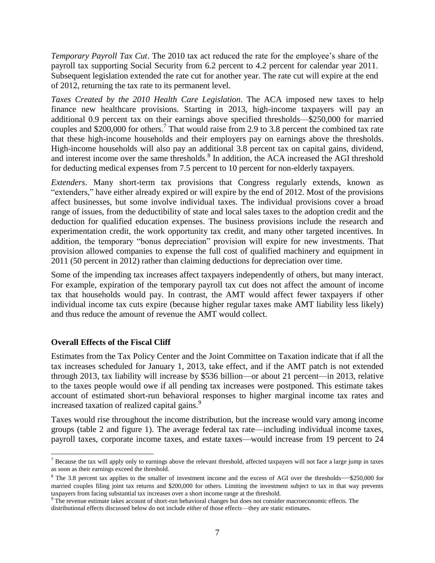*Temporary Payroll Tax Cut*. The 2010 tax act reduced the rate for the employee's share of the payroll tax supporting Social Security from 6.2 percent to 4.2 percent for calendar year 2011. Subsequent legislation extended the rate cut for another year. The rate cut will expire at the end of 2012, returning the tax rate to its permanent level.

*Taxes Created by the 2010 Health Care Legislation*. The ACA imposed new taxes to help finance new healthcare provisions. Starting in 2013, high-income taxpayers will pay an additional 0.9 percent tax on their earnings above specified thresholds—\$250,000 for married couples and \$200,000 for others. 7 That would raise from 2.9 to 3.8 percent the combined tax rate that these high-income households and their employers pay on earnings above the thresholds. High-income households will also pay an additional 3.8 percent tax on capital gains, dividend, and interest income over the same thresholds.<sup>8</sup> In addition, the ACA increased the AGI threshold for deducting medical expenses from 7.5 percent to 10 percent for non-elderly taxpayers.

*Extenders*. Many short-term tax provisions that Congress regularly extends, known as "extenders," have either already expired or will expire by the end of 2012. Most of the provisions affect businesses, but some involve individual taxes. The individual provisions cover a broad range of issues, from the deductibility of state and local sales taxes to the adoption credit and the deduction for qualified education expenses. The business provisions include the research and experimentation credit, the work opportunity tax credit, and many other targeted incentives. In addition, the temporary "bonus depreciation" provision will expire for new investments. That provision allowed companies to expense the full cost of qualified machinery and equipment in 2011 (50 percent in 2012) rather than claiming deductions for depreciation over time.

Some of the impending tax increases affect taxpayers independently of others, but many interact. For example, expiration of the temporary payroll tax cut does not affect the amount of income tax that households would pay. In contrast, the AMT would affect fewer taxpayers if other individual income tax cuts expire (because higher regular taxes make AMT liability less likely) and thus reduce the amount of revenue the AMT would collect.

## **Overall Effects of the Fiscal Cliff**

 $\overline{a}$ 

Estimates from the Tax Policy Center and the Joint Committee on Taxation indicate that if all the tax increases scheduled for January 1, 2013, take effect, and if the AMT patch is not extended through 2013, tax liability will increase by \$536 billion—or about 21 percent—in 2013, relative to the taxes people would owe if all pending tax increases were postponed. This estimate takes account of estimated short-run behavioral responses to higher marginal income tax rates and increased taxation of realized capital gains.<sup>9</sup>

Taxes would rise throughout the income distribution, but the increase would vary among income groups (table 2 and figure 1). The average federal tax rate—including individual income taxes, payroll taxes, corporate income taxes, and estate taxes—would increase from 19 percent to 24

 $<sup>7</sup>$  Because the tax will apply only to earnings above the relevant threshold, affected taxpayers will not face a large jump in taxes</sup> as soon as their earnings exceed the threshold.

<sup>&</sup>lt;sup>8</sup> The 3.8 percent tax applies to the smaller of investment income and the excess of AGI over the thresholds—\$250,000 for married couples filing joint tax returns and \$200,000 for others. Limiting the investment subject to tax in that way prevents taxpayers from facing substantial tax increases over a short income range at the threshold.

 $9$  The revenue estimate takes account of short-run behavioral changes but does not consider macroeconomic effects. The distributional effects discussed below do not include either of those effects—they are static estimates.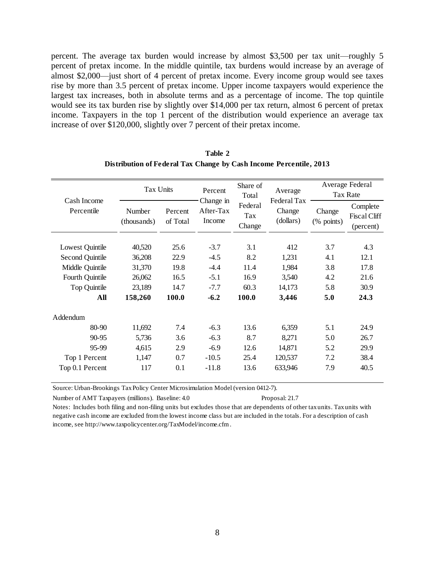percent. The average tax burden would increase by almost \$3,500 per tax unit—roughly 5 percent of pretax income. In the middle quintile, tax burdens would increase by an average of almost \$2,000—just short of 4 percent of pretax income. Every income group would see taxes rise by more than 3.5 percent of pretax income. Upper income taxpayers would experience the largest tax increases, both in absolute terms and as a percentage of income. The top quintile would see its tax burden rise by slightly over \$14,000 per tax return, almost 6 percent of pretax income. Taxpayers in the top 1 percent of the distribution would experience an average tax increase of over \$120,000, slightly over 7 percent of their pretax income.

| Cash Income<br>Percentile | Tax Units             |                     | Percent                          | Share of<br>Total        | Average<br>Federal Tax | Average Federal<br><b>Tax Rate</b> |                                              |  |
|---------------------------|-----------------------|---------------------|----------------------------------|--------------------------|------------------------|------------------------------------|----------------------------------------------|--|
|                           | Number<br>(thousands) | Percent<br>of Total | Change in<br>After-Tax<br>Income | Federal<br>Tax<br>Change | Change<br>(dollars)    | Change<br>(% points)               | Complete<br><b>Fiscal Cliff</b><br>(percent) |  |
| Lowest Quintile           | 40,520                | 25.6                | $-3.7$                           | 3.1                      | 412                    | 3.7                                | 4.3                                          |  |
| <b>Second Quintile</b>    | 36,208                | 22.9                | $-4.5$                           | 8.2                      | 1,231                  | 4.1                                | 12.1                                         |  |
| Middle Quintile           | 31,370                | 19.8                | $-4.4$                           | 11.4                     | 1,984                  | 3.8                                | 17.8                                         |  |
| Fourth Quintile           | 26,062                | 16.5                | $-5.1$                           | 16.9                     | 3,540                  | 4.2                                | 21.6                                         |  |
| <b>Top Quintile</b>       | 23,189                | 14.7                | $-7.7$                           | 60.3                     | 14,173                 | 5.8                                | 30.9                                         |  |
| All                       | 158,260               | 100.0               | $-6.2$                           | 100.0                    | 3,446                  | 5.0                                | 24.3                                         |  |
| Addendum                  |                       |                     |                                  |                          |                        |                                    |                                              |  |
| 80-90                     | 11,692                | 7.4                 | $-6.3$                           | 13.6                     | 6,359                  | 5.1                                | 24.9                                         |  |
| 90-95                     | 5,736                 | 3.6                 | $-6.3$                           | 8.7                      | 8,271                  | 5.0                                | 26.7                                         |  |
| 95-99                     | 4,615                 | 2.9                 | $-6.9$                           | 12.6                     | 14,871                 | 5.2                                | 29.9                                         |  |
| Top 1 Percent             | 1,147                 | 0.7                 | $-10.5$                          | 25.4                     | 120,537                | 7.2                                | 38.4                                         |  |
| Top 0.1 Percent           | 117                   | 0.1                 | $-11.8$                          | 13.6                     | 633,946                | 7.9                                | 40.5                                         |  |

| Table 2                                                            |  |
|--------------------------------------------------------------------|--|
| Distribution of Federal Tax Change by Cash Income Percentile, 2013 |  |

Source: Urban-Brookings Tax Policy Center Microsimulation Model (version 0412-7).

Number of AMT Taxpayers (millions). Baseline: 4.0 Proposal: 21.7

Notes: Includes both filing and non-filing units but excludes those that are dependents of other tax units. Tax units with negative cash income are excluded from the lowest income class but are included in the totals. For a description of cash income, see http://www.taxpolicycenter.org/TaxModel/income.cfm .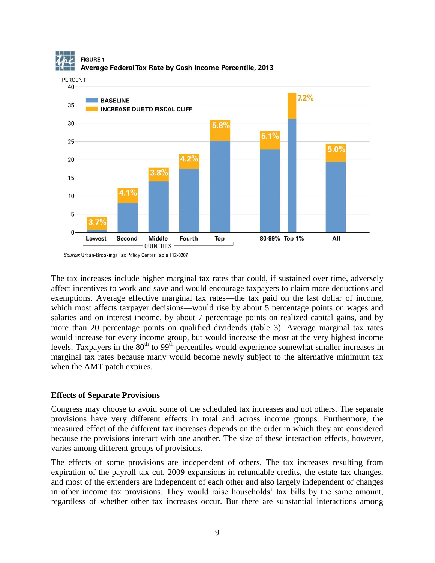

The tax increases include higher marginal tax rates that could, if sustained over time, adversely affect incentives to work and save and would encourage taxpayers to claim more deductions and exemptions. Average effective marginal tax rates—the tax paid on the last dollar of income, which most affects taxpayer decisions—would rise by about 5 percentage points on wages and salaries and on interest income, by about 7 percentage points on realized capital gains, and by more than 20 percentage points on qualified dividends (table 3). Average marginal tax rates would increase for every income group, but would increase the most at the very highest income levels. Taxpayers in the  $80<sup>th</sup>$  to  $99<sup>th</sup>$  percentiles would experience somewhat smaller increases in marginal tax rates because many would become newly subject to the alternative minimum tax when the AMT patch expires.

## **Effects of Separate Provisions**

Congress may choose to avoid some of the scheduled tax increases and not others. The separate provisions have very different effects in total and across income groups. Furthermore, the measured effect of the different tax increases depends on the order in which they are considered because the provisions interact with one another. The size of these interaction effects, however, varies among different groups of provisions.

The effects of some provisions are independent of others. The tax increases resulting from expiration of the payroll tax cut, 2009 expansions in refundable credits, the estate tax changes, and most of the extenders are independent of each other and also largely independent of changes in other income tax provisions. They would raise households' tax bills by the same amount, regardless of whether other tax increases occur. But there are substantial interactions among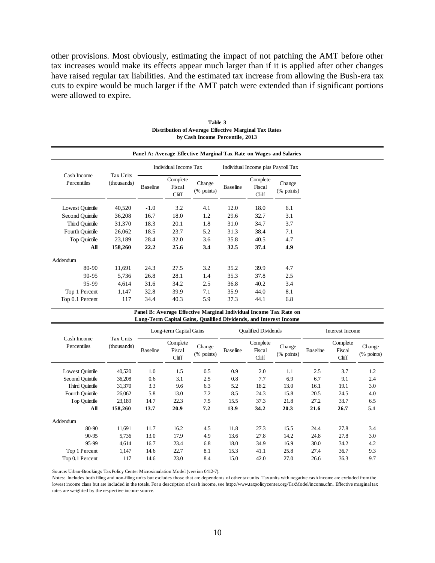other provisions. Most obviously, estimating the impact of not patching the AMT before other tax increases would make its effects appear much larger than if it is applied after other changes have raised regular tax liabilities. And the estimated tax increase from allowing the Bush-era tax cuts to expire would be much larger if the AMT patch were extended than if significant portions were allowed to expire.

|                            | Panel A: Average Effective Marginal Tax Rate on Wages and Salaries |                 |                             |                      |                 |                                    |                      |  |  |  |  |
|----------------------------|--------------------------------------------------------------------|-----------------|-----------------------------|----------------------|-----------------|------------------------------------|----------------------|--|--|--|--|
|                            |                                                                    |                 | Individual Income Tax       |                      |                 | Individual Income plus Payroll Tax |                      |  |  |  |  |
| Cash Income<br>Percentiles | Tax Units<br>(thousands)                                           | <b>Baseline</b> | Complete<br>Fiscal<br>Cliff | Change<br>(% points) | <b>Baseline</b> | Complete<br>Fiscal<br>Cliff        | Change<br>(% points) |  |  |  |  |
| Lowest Quintile            | 40,520                                                             | $-1.0$          | 3.2                         | 4.1                  | 12.0            | 18.0                               | 6.1                  |  |  |  |  |
| Second Quintile            | 36,208                                                             | 16.7            | 18.0                        | 1.2                  | 29.6            | 32.7                               | 3.1                  |  |  |  |  |
| Third Ouintile             | 31,370                                                             | 18.3            | 20.1                        | 1.8                  | 31.0            | 34.7                               | 3.7                  |  |  |  |  |
| Fourth Ouintile            | 26,062                                                             | 18.5            | 23.7                        | 5.2                  | 31.3            | 38.4                               | 7.1                  |  |  |  |  |
| Top Quintile               | 23,189                                                             | 28.4            | 32.0                        | 3.6                  | 35.8            | 40.5                               | 4.7                  |  |  |  |  |
| All                        | 158,260                                                            | 22.2            | 25.6                        | 3.4                  | 32.5            | 37.4                               | 4.9                  |  |  |  |  |
| Addendum                   |                                                                    |                 |                             |                      |                 |                                    |                      |  |  |  |  |
| 80-90                      | 11,691                                                             | 24.3            | 27.5                        | 3.2                  | 35.2            | 39.9                               | 4.7                  |  |  |  |  |
| 90-95                      | 5,736                                                              | 26.8            | 28.1                        | 1.4                  | 35.3            | 37.8                               | 2.5                  |  |  |  |  |
| 95-99                      | 4.614                                                              | 31.6            | 34.2                        | 2.5                  | 36.8            | 40.2                               | 3.4                  |  |  |  |  |
| Top 1 Percent              | 1,147                                                              | 32.8            | 39.9                        | 7.1                  | 35.9            | 44.0                               | 8.1                  |  |  |  |  |
| Top 0.1 Percent            | 117                                                                | 34.4            | 40.3                        | 5.9                  | 37.3            | 44.1                               | 6.8                  |  |  |  |  |

**Table 3 Distribution of Average Effective Marginal Tax Rates by Cash Income Percentile, 2013**

| Panel B: Average Effective Marginal Individual Income Tax Rate on |
|-------------------------------------------------------------------|
| Long-Term Capital Gains, Qualified Dividends, and Interest Income |

|                            |                          | Long-term Capital Gains |                             |                                                    |                 | <b>Oualified Dividends</b>  |                         | <b>Interest Income</b> |                             |                                      |  |
|----------------------------|--------------------------|-------------------------|-----------------------------|----------------------------------------------------|-----------------|-----------------------------|-------------------------|------------------------|-----------------------------|--------------------------------------|--|
| Cash Income<br>Percentiles | Tax Units<br>(thousands) | <b>Baseline</b>         | Complete<br>Fiscal<br>Cliff | Change<br>$(% \mathcal{L}_{0}^{\infty}$ (% points) | <b>Baseline</b> | Complete<br>Fiscal<br>Cliff | Change<br>$(\%$ points) | <b>Baseline</b>        | Complete<br>Fiscal<br>Cliff | Change<br>$(% \mathbf{p}$ (% points) |  |
| Lowest Quintile            | 40,520                   | 1.0                     | 1.5                         | 0.5                                                | 0.9             | 2.0                         | 1.1                     | 2.5                    | 3.7                         | 1.2                                  |  |
| Second Quintile            | 36,208                   | 0.6                     | 3.1                         | 2.5                                                | 0.8             | 7.7                         | 6.9                     | 6.7                    | 9.1                         | 2.4                                  |  |
| Third Quintile             | 31,370                   | 3.3                     | 9.6                         | 6.3                                                | 5.2             | 18.2                        | 13.0                    | 16.1                   | 19.1                        | 3.0                                  |  |
| Fourth Quintile            | 26,062                   | 5.8                     | 13.0                        | 7.2                                                | 8.5             | 24.3                        | 15.8                    | 20.5                   | 24.5                        | 4.0                                  |  |
| Top Quintile               | 23,189                   | 14.7                    | 22.3                        | 7.5                                                | 15.5            | 37.3                        | 21.8                    | 27.2                   | 33.7                        | 6.5                                  |  |
| All                        | 158,260                  | 13.7                    | 20.9                        | 7.2                                                | 13.9            | 34.2                        | 20.3                    | 21.6                   | 26.7                        | 5.1                                  |  |
| Addendum                   |                          |                         |                             |                                                    |                 |                             |                         |                        |                             |                                      |  |
| 80-90                      | 11,691                   | 11.7                    | 16.2                        | 4.5                                                | 11.8            | 27.3                        | 15.5                    | 24.4                   | 27.8                        | 3.4                                  |  |
| 90-95                      | 5,736                    | 13.0                    | 17.9                        | 4.9                                                | 13.6            | 27.8                        | 14.2                    | 24.8                   | 27.8                        | 3.0                                  |  |
| 95-99                      | 4,614                    | 16.7                    | 23.4                        | 6.8                                                | 18.0            | 34.9                        | 16.9                    | 30.0                   | 34.2                        | 4.2                                  |  |
| Top 1 Percent              | 1,147                    | 14.6                    | 22.7                        | 8.1                                                | 15.3            | 41.1                        | 25.8                    | 27.4                   | 36.7                        | 9.3                                  |  |
| Top 0.1 Percent            | 117                      | 14.6                    | 23.0                        | 8.4                                                | 15.0            | 42.0                        | 27.0                    | 26.6                   | 36.3                        | 9.7                                  |  |

Source: Urban-Brookings Tax Policy Center Microsimulation Model (version 0412-7).

Notes: Includes both filing and non-filing units but excludes those that are dependents of other tax units. Tax units with negative cash income are excluded from the lowest income class but are included in the totals. For a description of cash income, see http://www.taxpolicycenter.org/TaxModel/income.cfm . Effective marginal tax rates are weighted by the respective income source.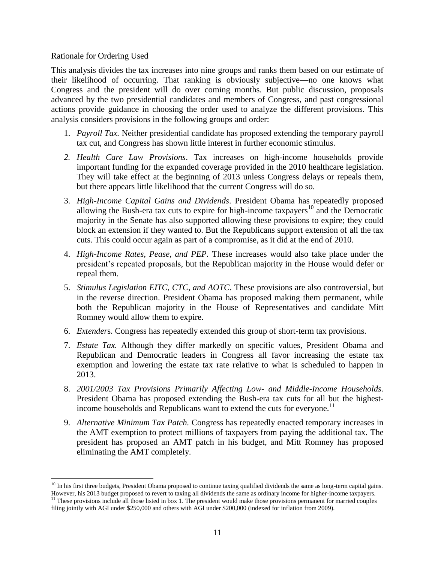## Rationale for Ordering Used

 $\overline{a}$ 

This analysis divides the tax increases into nine groups and ranks them based on our estimate of their likelihood of occurring. That ranking is obviously subjective—no one knows what Congress and the president will do over coming months. But public discussion, proposals advanced by the two presidential candidates and members of Congress, and past congressional actions provide guidance in choosing the order used to analyze the different provisions. This analysis considers provisions in the following groups and order:

- 1. *Payroll Tax.* Neither presidential candidate has proposed extending the temporary payroll tax cut, and Congress has shown little interest in further economic stimulus.
- *2. Health Care Law Provisions*. Tax increases on high-income households provide important funding for the expanded coverage provided in the 2010 healthcare legislation. They will take effect at the beginning of 2013 unless Congress delays or repeals them, but there appears little likelihood that the current Congress will do so.
- 3. *High-Income Capital Gains and Dividends*. President Obama has repeatedly proposed allowing the Bush-era tax cuts to expire for high-income taxpayers<sup>10</sup> and the Democratic majority in the Senate has also supported allowing these provisions to expire; they could block an extension if they wanted to. But the Republicans support extension of all the tax cuts. This could occur again as part of a compromise, as it did at the end of 2010.
- 4. *High-Income Rates, Pease, and PEP.* These increases would also take place under the president's repeated proposals, but the Republican majority in the House would defer or repeal them.
- 5. *Stimulus Legislation EITC, CTC, and AOTC.* These provisions are also controversial, but in the reverse direction. President Obama has proposed making them permanent, while both the Republican majority in the House of Representatives and candidate Mitt Romney would allow them to expire.
- 6. *Extender*s. Congress has repeatedly extended this group of short-term tax provisions.
- 7. *Estate Tax.* Although they differ markedly on specific values, President Obama and Republican and Democratic leaders in Congress all favor increasing the estate tax exemption and lowering the estate tax rate relative to what is scheduled to happen in 2013.
- 8. *2001/2003 Tax Provisions Primarily Affecting Low- and Middle-Income Households.*  President Obama has proposed extending the Bush-era tax cuts for all but the highestincome households and Republicans want to extend the cuts for everyone.<sup>11</sup>
- 9. *Alternative Minimum Tax Patch.* Congress has repeatedly enacted temporary increases in the AMT exemption to protect millions of taxpayers from paying the additional tax. The president has proposed an AMT patch in his budget, and Mitt Romney has proposed eliminating the AMT completely.

 $10$  In his first three budgets, President Obama proposed to continue taxing qualified dividends the same as long-term capital gains. However, his 2013 budget proposed to revert to taxing all dividends the same as ordinary income for higher-income taxpayers. <sup>11</sup> These provisions include all those listed in box 1. The president would make those provisions permanent for married couples filing jointly with AGI under \$250,000 and others with AGI under \$200,000 (indexed for inflation from 2009).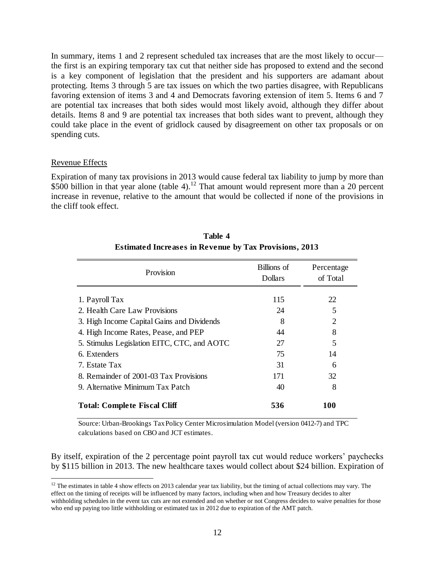In summary, items 1 and 2 represent scheduled tax increases that are the most likely to occur the first is an expiring temporary tax cut that neither side has proposed to extend and the second is a key component of legislation that the president and his supporters are adamant about protecting. Items 3 through 5 are tax issues on which the two parties disagree, with Republicans favoring extension of items 3 and 4 and Democrats favoring extension of item 5. Items 6 and 7 are potential tax increases that both sides would most likely avoid, although they differ about details. Items 8 and 9 are potential tax increases that both sides want to prevent, although they could take place in the event of gridlock caused by disagreement on other tax proposals or on spending cuts.

## Revenue Effects

 $\overline{a}$ 

Expiration of many tax provisions in 2013 would cause federal tax liability to jump by more than \$500 billion in that year alone (table 4).<sup>12</sup> That amount would represent more than a 20 percent increase in revenue, relative to the amount that would be collected if none of the provisions in the cliff took effect.

| Provision                                   | Billions of<br><b>Dollars</b> | Percentage<br>of Total |
|---------------------------------------------|-------------------------------|------------------------|
| 1. Payroll Tax                              | 115                           | 22                     |
| 2. Health Care Law Provisions               | 24                            | 5                      |
| 3. High Income Capital Gains and Dividends  | 8                             | $\overline{c}$         |
| 4. High Income Rates, Pease, and PEP        | 44                            | 8                      |
| 5. Stimulus Legislation EITC, CTC, and AOTC | 27                            | 5                      |
| 6. Extenders                                | 75                            | 14                     |
| 7. Estate Tax                               | 31                            | 6                      |
| 8. Remainder of 2001-03 Tax Provisions      | 171                           | 32                     |
| 9. Alternative Minimum Tax Patch            | 40                            | 8                      |
| <b>Total: Complete Fiscal Cliff</b>         | 536                           | 100                    |

**Table 4 Estimated Increases in Revenue by Tax Provisions, 2013**

Source: Urban-Brookings Tax Policy Center Microsimulation Model (version 0412-7) and TPC calculations based on CBO and JCT estimates.

By itself, expiration of the 2 percentage point payroll tax cut would reduce workers' paychecks by \$115 billion in 2013. The new healthcare taxes would collect about \$24 billion. Expiration of

 $12$  The estimates in table 4 show effects on 2013 calendar year tax liability, but the timing of actual collections may vary. The effect on the timing of receipts will be influenced by many factors, including when and how Treasury decides to alter withholding schedules in the event tax cuts are not extended and on whether or not Congress decides to waive penalties for those who end up paying too little withholding or estimated tax in 2012 due to expiration of the AMT patch.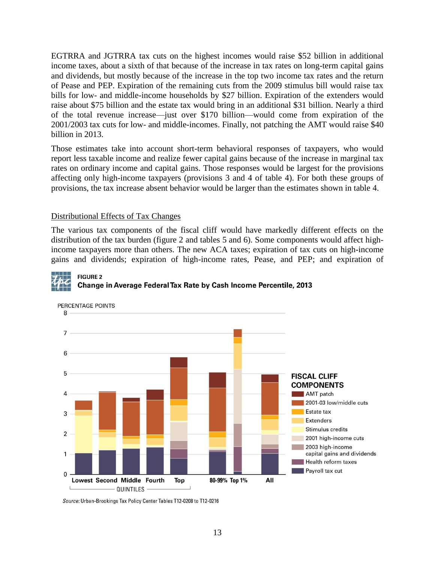EGTRRA and JGTRRA tax cuts on the highest incomes would raise \$52 billion in additional income taxes, about a sixth of that because of the increase in tax rates on long-term capital gains and dividends, but mostly because of the increase in the top two income tax rates and the return of Pease and PEP. Expiration of the remaining cuts from the 2009 stimulus bill would raise tax bills for low- and middle-income households by \$27 billion. Expiration of the extenders would raise about \$75 billion and the estate tax would bring in an additional \$31 billion. Nearly a third of the total revenue increase—just over \$170 billion—would come from expiration of the 2001/2003 tax cuts for low- and middle-incomes. Finally, not patching the AMT would raise \$40 billion in 2013.

Those estimates take into account short-term behavioral responses of taxpayers, who would report less taxable income and realize fewer capital gains because of the increase in marginal tax rates on ordinary income and capital gains. Those responses would be largest for the provisions affecting only high-income taxpayers (provisions 3 and 4 of table 4). For both these groups of provisions, the tax increase absent behavior would be larger than the estimates shown in table 4.

## Distributional Effects of Tax Changes

**FIGURE 2** 

The various tax components of the fiscal cliff would have markedly different effects on the distribution of the tax burden (figure 2 and tables 5 and 6). Some components would affect highincome taxpayers more than others. The new ACA taxes; expiration of tax cuts on high-income gains and dividends; expiration of high-income rates, Pease, and PEP; and expiration of



Change in Average Federal Tax Rate by Cash Income Percentile, 2013

Source: Urban-Brookings Tax Policy Center Tables T12-0208 to T12-0216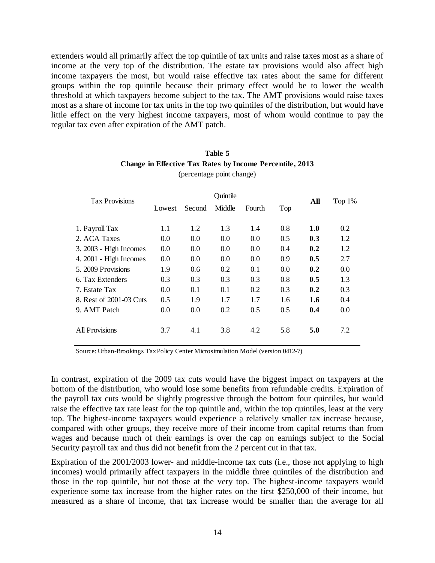extenders would all primarily affect the top quintile of tax units and raise taxes most as a share of income at the very top of the distribution. The estate tax provisions would also affect high income taxpayers the most, but would raise effective tax rates about the same for different groups within the top quintile because their primary effect would be to lower the wealth threshold at which taxpayers become subject to the tax. The AMT provisions would raise taxes most as a share of income for tax units in the top two quintiles of the distribution, but would have little effect on the very highest income taxpayers, most of whom would continue to pay the regular tax even after expiration of the AMT patch.

| <b>Tax Provisions</b>   |        |                                   | All | Top $1\%$ |     |     |     |
|-------------------------|--------|-----------------------------------|-----|-----------|-----|-----|-----|
|                         | Lowest | Second<br>Middle<br>Top<br>Fourth |     |           |     |     |     |
|                         |        |                                   |     |           |     |     |     |
| 1. Payroll Tax          | 1.1    | 1.2                               | 1.3 | 1.4       | 0.8 | 1.0 | 0.2 |
| 2. ACA Taxes            | 0.0    | 0.0                               | 0.0 | 0.0       | 0.5 | 0.3 | 1.2 |
| 3. 2003 - High Incomes  | 0.0    | 0.0                               | 0.0 | 0.0       | 0.4 | 0.2 | 1.2 |
| 4. 2001 - High Incomes  | 0.0    | 0.0                               | 0.0 | 0.0       | 0.9 | 0.5 | 2.7 |
| 5. 2009 Provisions      | 1.9    | 0.6                               | 0.2 | 0.1       | 0.0 | 0.2 | 0.0 |
| 6. Tax Extenders        | 0.3    | 0.3                               | 0.3 | 0.3       | 0.8 | 0.5 | 1.3 |
| 7. Estate Tax           | 0.0    | 0.1                               | 0.1 | 0.2       | 0.3 | 0.2 | 0.3 |
| 8. Rest of 2001-03 Cuts | 0.5    | 1.9                               | 1.7 | 1.7       | 1.6 | 1.6 | 0.4 |
| 9. AMT Patch            | 0.0    | 0.0                               | 0.2 | 0.5       | 0.5 | 0.4 | 0.0 |
|                         |        |                                   |     |           |     |     |     |
| All Provisions          | 3.7    | 4.1                               | 3.8 | 4.2       | 5.8 | 5.0 | 7.2 |
|                         |        |                                   |     |           |     |     |     |

## **Table 5 Change in Effective Tax Rates by Income Percentile, 2013** (percentage point change)

Source: Urban-Brookings Tax Policy Center Microsimulation Model (version 0412-7)

In contrast, expiration of the 2009 tax cuts would have the biggest impact on taxpayers at the bottom of the distribution, who would lose some benefits from refundable credits. Expiration of the payroll tax cuts would be slightly progressive through the bottom four quintiles, but would raise the effective tax rate least for the top quintile and, within the top quintiles, least at the very top. The highest-income taxpayers would experience a relatively smaller tax increase because, compared with other groups, they receive more of their income from capital returns than from wages and because much of their earnings is over the cap on earnings subject to the Social Security payroll tax and thus did not benefit from the 2 percent cut in that tax.

Expiration of the 2001/2003 lower- and middle-income tax cuts (i.e., those not applying to high incomes) would primarily affect taxpayers in the middle three quintiles of the distribution and those in the top quintile, but not those at the very top. The highest-income taxpayers would experience some tax increase from the higher rates on the first \$250,000 of their income, but measured as a share of income, that tax increase would be smaller than the average for all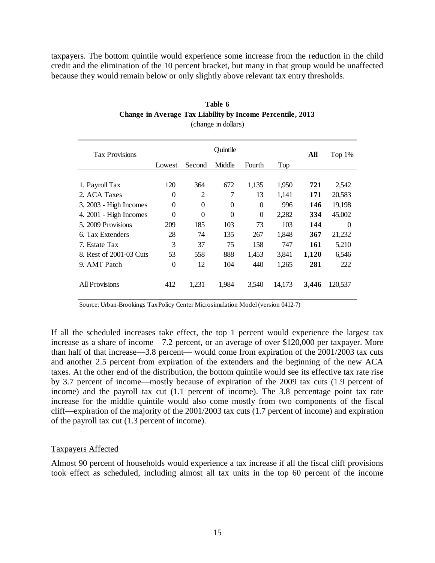taxpayers. The bottom quintile would experience some increase from the reduction in the child credit and the elimination of the 10 percent bracket, but many in that group would be unaffected because they would remain below or only slightly above relevant tax entry thresholds.

| <b>Tax Provisions</b>   |          | All            | Top 1%   |          |        |       |          |
|-------------------------|----------|----------------|----------|----------|--------|-------|----------|
|                         | Lowest   | Second         | Middle   | Fourth   | Top    |       |          |
|                         |          |                |          |          |        |       |          |
| 1. Payroll Tax          | 120      | 364            | 672      | 1,135    | 1,950  | 721   | 2,542    |
| 2. ACA Taxes            | $\Omega$ | $\overline{c}$ | 7        | 13       | 1,141  | 171   | 20,583   |
| 3. 2003 - High Incomes  | $\theta$ | $\theta$       | $\Omega$ | $\Omega$ | 996    | 146   | 19,198   |
| 4. 2001 - High Incomes  | $\Omega$ | $\Omega$       | $\Omega$ | $\Omega$ | 2.282  | 334   | 45,002   |
| 5. 2009 Provisions      | 209      | 185            | 103      | 73       | 103    | 144   | $\Omega$ |
| 6. Tax Extenders        | 28       | 74             | 135      | 267      | 1,848  | 367   | 21,232   |
| 7. Estate Tax           | 3        | 37             | 75       | 158      | 747    | 161   | 5,210    |
| 8. Rest of 2001-03 Cuts | 53       | 558            | 888      | 1,453    | 3,841  | 1,120 | 6,546    |
| 9. AMT Patch            | $\theta$ | 12             | 104      | 440      | 1,265  | 281   | 222      |
| All Provisions          | 412      | 1,231          | 1,984    | 3,540    | 14,173 | 3,446 | 120,537  |

# **Table 6 Change in Average Tax Liability by Income Percentile, 2013**

(change in dollars)

Source: Urban-Brookings Tax Policy Center Microsimulation Model (version 0412-7)

If all the scheduled increases take effect, the top 1 percent would experience the largest tax increase as a share of income—7.2 percent, or an average of over \$120,000 per taxpayer. More than half of that increase—3.8 percent— would come from expiration of the 2001/2003 tax cuts and another 2.5 percent from expiration of the extenders and the beginning of the new ACA taxes. At the other end of the distribution, the bottom quintile would see its effective tax rate rise by 3.7 percent of income—mostly because of expiration of the 2009 tax cuts (1.9 percent of income) and the payroll tax cut (1.1 percent of income). The 3.8 percentage point tax rate increase for the middle quintile would also come mostly from two components of the fiscal cliff—expiration of the majority of the 2001/2003 tax cuts (1.7 percent of income) and expiration of the payroll tax cut (1.3 percent of income).

## Taxpayers Affected

Almost 90 percent of households would experience a tax increase if all the fiscal cliff provisions took effect as scheduled, including almost all tax units in the top 60 percent of the income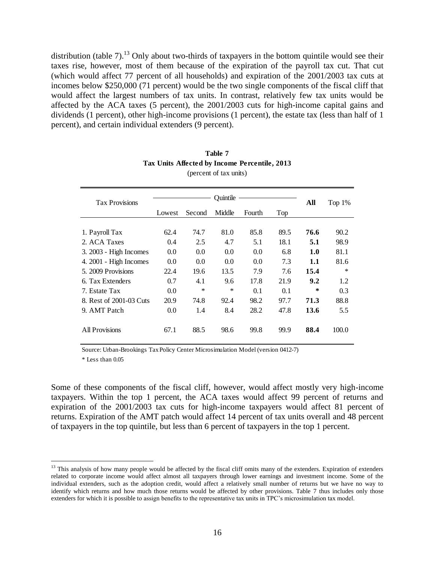distribution (table 7).<sup>13</sup> Only about two-thirds of taxpayers in the bottom quintile would see their taxes rise, however, most of them because of the expiration of the payroll tax cut. That cut (which would affect 77 percent of all households) and expiration of the 2001/2003 tax cuts at incomes below \$250,000 (71 percent) would be the two single components of the fiscal cliff that would affect the largest numbers of tax units. In contrast, relatively few tax units would be affected by the ACA taxes (5 percent), the 2001/2003 cuts for high-income capital gains and dividends (1 percent), other high-income provisions (1 percent), the estate tax (less than half of 1 percent), and certain individual extenders (9 percent).

| <b>Tax Provisions</b>   |        | All    | Top $1\%$ |        |      |        |         |
|-------------------------|--------|--------|-----------|--------|------|--------|---------|
|                         | Lowest | Second | Middle    | Fourth | Top  |        |         |
|                         |        |        |           |        |      |        |         |
| 1. Payroll Tax          | 62.4   | 74.7   | 81.0      | 85.8   | 89.5 | 76.6   | 90.2    |
| 2. ACA Taxes            | 0.4    | 2.5    | 4.7       | 5.1    | 18.1 | 5.1    | 98.9    |
| 3. 2003 - High Incomes  | 0.0    | 0.0    | 0.0       | 0.0    | 6.8  | 1.0    | 81.1    |
| 4. 2001 - High Incomes  | 0.0    | 0.0    | 0.0       | 0.0    | 7.3  | 1.1    | 81.6    |
| 5. 2009 Provisions      | 22.4   | 19.6   | 13.5      | 7.9    | 7.6  | 15.4   | $\star$ |
| 6. Tax Extenders        | 0.7    | 4.1    | 9.6       | 17.8   | 21.9 | 9.2    | 1.2     |
| 7. Estate Tax           | 0.0    | $\ast$ | $\ast$    | 0.1    | 0.1  | $\ast$ | 0.3     |
| 8. Rest of 2001-03 Cuts | 20.9   | 74.8   | 92.4      | 98.2   | 97.7 | 71.3   | 88.8    |
| 9. AMT Patch            | 0.0    | 1.4    | 8.4       | 28.2   | 47.8 | 13.6   | 5.5     |
| <b>All Provisions</b>   | 67.1   | 88.5   | 98.6      | 99.8   | 99.9 | 88.4   | 100.0   |

| Table 7                                       |
|-----------------------------------------------|
| Tax Units Affected by Income Percentile, 2013 |
| (percent of tax units)                        |

Source: Urban-Brookings Tax Policy Center Microsimulation Model (version 0412-7)

\* Less than 0.05

 $\overline{a}$ 

Some of these components of the fiscal cliff, however, would affect mostly very high-income taxpayers. Within the top 1 percent, the ACA taxes would affect 99 percent of returns and expiration of the 2001/2003 tax cuts for high-income taxpayers would affect 81 percent of returns. Expiration of the AMT patch would affect 14 percent of tax units overall and 48 percent of taxpayers in the top quintile, but less than 6 percent of taxpayers in the top 1 percent.

<sup>&</sup>lt;sup>13</sup> This analysis of how many people would be affected by the fiscal cliff omits many of the extenders. Expiration of extenders related to corporate income would affect almost all taxpayers through lower earnings and investment income. Some of the individual extenders, such as the adoption credit, would affect a relatively small number of returns but we have no way to identify which returns and how much those returns would be affected by other provisions. Table 7 thus includes only those extenders for which it is possible to assign benefits to the representative tax units in TPC's microsimulation tax model.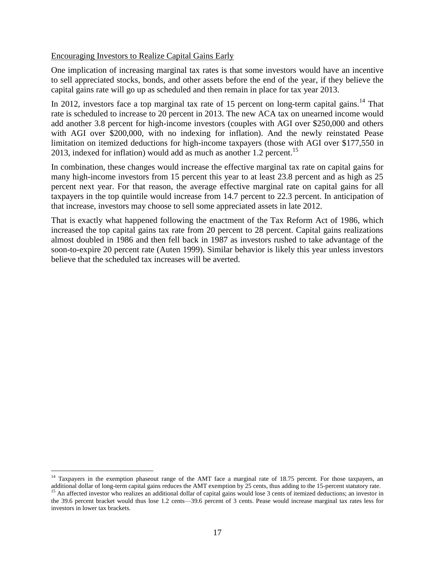## Encouraging Investors to Realize Capital Gains Early

One implication of increasing marginal tax rates is that some investors would have an incentive to sell appreciated stocks, bonds, and other assets before the end of the year, if they believe the capital gains rate will go up as scheduled and then remain in place for tax year 2013.

In 2012, investors face a top marginal tax rate of 15 percent on long-term capital gains.<sup>14</sup> That rate is scheduled to increase to 20 percent in 2013. The new ACA tax on unearned income would add another 3.8 percent for high-income investors (couples with AGI over \$250,000 and others with AGI over \$200,000, with no indexing for inflation). And the newly reinstated Pease limitation on itemized deductions for high-income taxpayers (those with AGI over \$177,550 in 2013, indexed for inflation) would add as much as another 1.2 percent.<sup>15</sup>

In combination, these changes would increase the effective marginal tax rate on capital gains for many high-income investors from 15 percent this year to at least 23.8 percent and as high as 25 percent next year. For that reason, the average effective marginal rate on capital gains for all taxpayers in the top quintile would increase from 14.7 percent to 22.3 percent. In anticipation of that increase, investors may choose to sell some appreciated assets in late 2012.

That is exactly what happened following the enactment of the Tax Reform Act of 1986, which increased the top capital gains tax rate from 20 percent to 28 percent. Capital gains realizations almost doubled in 1986 and then fell back in 1987 as investors rushed to take advantage of the soon-to-expire 20 percent rate (Auten 1999). Similar behavior is likely this year unless investors believe that the scheduled tax increases will be averted.

 $\overline{a}$ 

<sup>&</sup>lt;sup>14</sup> Taxpayers in the exemption phaseout range of the AMT face a marginal rate of 18.75 percent. For those taxpayers, an additional dollar of long-term capital gains reduces the AMT exemption by 25 cents, thus adding to the 15-percent statutory rate.

<sup>&</sup>lt;sup>15</sup> An affected investor who realizes an additional dollar of capital gains would lose 3 cents of itemized deductions; an investor in the 39.6 percent bracket would thus lose 1.2 cents—39.6 percent of 3 cents. Pease would increase marginal tax rates less for investors in lower tax brackets.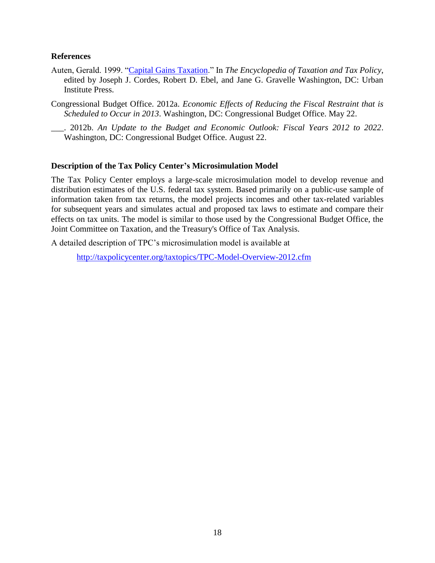### **References**

- Auten, Gerald. 1999. ["Capital Gains Taxation.](http://www.taxpolicycenter.org/publications/url.cfm?ID=1000519)" In *The Encyclopedia of Taxation and Tax Policy*, edited by Joseph J. Cordes, Robert D. Ebel, and Jane G. Gravelle Washington, DC: Urban Institute Press.
- Congressional Budget Office. 2012a. *Economic Effects of Reducing the Fiscal Restraint that is Scheduled to Occur in 2013*. Washington, DC: Congressional Budget Office. May 22.
- \_\_\_. 2012b. *An Update to the Budget and Economic Outlook: Fiscal Years 2012 to 2022*. Washington, DC: Congressional Budget Office. August 22.

## **Description of the Tax Policy Center's Microsimulation Model**

The Tax Policy Center employs a large-scale microsimulation model to develop revenue and distribution estimates of the U.S. federal tax system. Based primarily on a public-use sample of information taken from tax returns, the model projects incomes and other tax-related variables for subsequent years and simulates actual and proposed tax laws to estimate and compare their effects on tax units. The model is similar to those used by the Congressional Budget Office, the Joint Committee on Taxation, and the Treasury's Office of Tax Analysis.

A detailed description of TPC's microsimulation model is available at

<http://taxpolicycenter.org/taxtopics/TPC-Model-Overview-2012.cfm>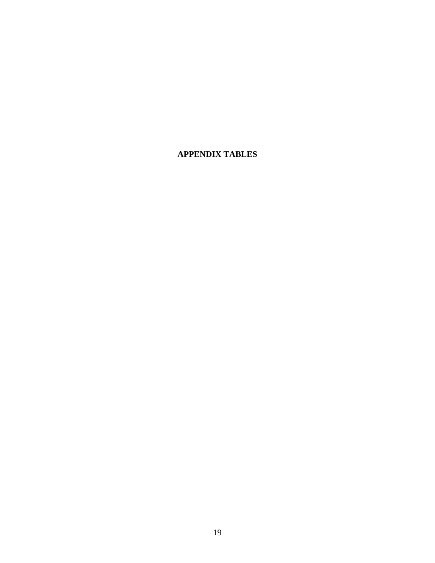# **APPENDIX TABLES**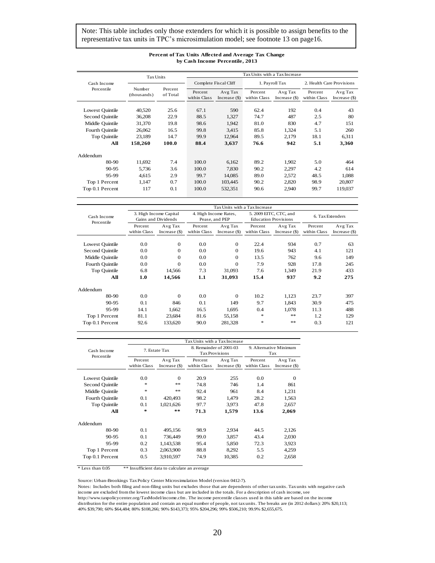Note: This table includes only those extenders for which it is possible to assign benefits to the representative tax units in TPC's microsimulation model; see footnote 13 on page16.

|                 | <b>Tax Units</b>      |                     | Tax Units with a Tax Increase |                            |                         |                            |                           |                           |  |  |
|-----------------|-----------------------|---------------------|-------------------------------|----------------------------|-------------------------|----------------------------|---------------------------|---------------------------|--|--|
| Cash Income     |                       |                     |                               | Complete Fiscal Cliff      |                         | 1. Payroll Tax             | 2. Health Care Provisions |                           |  |  |
| Percentile      | Number<br>(thousands) | Percent<br>of Total | Percent<br>within Class       | Avg Tax<br>Increase $(\$)$ | Percent<br>within Class | Avg Tax<br>Increase $(\$)$ | Percent<br>within Class   | Avg Tax<br>Increase $(S)$ |  |  |
| Lowest Ouintile | 40,520                | 25.6                | 67.1                          | 590                        | 62.4                    | 192                        | 0.4                       | 43                        |  |  |
| Second Quintile | 36,208                | 22.9                | 88.5                          | 1,327                      | 74.7                    | 487                        | 2.5                       | 80                        |  |  |
| Middle Quintile | 31.370                | 19.8                | 98.6                          | 1.942                      | 81.0                    | 830                        | 4.7                       | 151                       |  |  |
| Fourth Quintile | 26,062                | 16.5                | 99.8                          | 3,415                      | 85.8                    | 1,324                      | 5.1                       | 260                       |  |  |
| Top Quintile    | 23.189                | 14.7                | 99.9                          | 12,964                     | 89.5                    | 2.179                      | 18.1                      | 6.311                     |  |  |
| All             | 158,260               | 100.0               | 88.4                          | 3,637                      | 76.6                    | 942                        | 5.1                       | 3,360                     |  |  |
| Addendum        |                       |                     |                               |                            |                         |                            |                           |                           |  |  |
| 80-90           | 11.692                | 7.4                 | 100.0                         | 6,162                      | 89.2                    | 1.902                      | 5.0                       | 464                       |  |  |
| $90 - 95$       | 5,736                 | 3.6                 | 100.0                         | 7,830                      | 90.2                    | 2,297                      | 4.2                       | 614                       |  |  |
| 95-99           | 4.615                 | 2.9                 | 99.7                          | 14.085                     | 89.0                    | 2.572                      | 48.5                      | 1,088                     |  |  |
| Top 1 Percent   | 1.147                 | 0.7                 | 100.0                         | 103.445                    | 90.2                    | 2.820                      | 98.9                      | 20,807                    |  |  |
| Top 0.1 Percent | 117                   | 0.1                 | 100.0                         | 532,351                    | 90.6                    | 2,940                      | 99.7                      | 119,037                   |  |  |

#### **Percent of Tax Units Affected and Average Tax Change by Cash Income Percentile, 2013**

|                           | Tax Units with a Tax Increase |                                               |                         |                                         |                         |                                                       |                         |                            |  |  |  |
|---------------------------|-------------------------------|-----------------------------------------------|-------------------------|-----------------------------------------|-------------------------|-------------------------------------------------------|-------------------------|----------------------------|--|--|--|
| Cash Income<br>Percentile |                               | 3. High Income Capital<br>Gains and Dividends |                         | 4. High Income Rates,<br>Pease, and PEP |                         | 5. 2009 EITC, CTC, and<br><b>Education Provisions</b> |                         | 6. Tax Extenders           |  |  |  |
|                           | Percent<br>within Class       | Avg Tax<br>Increase $(S)$                     | Percent<br>within Class | Avg Tax<br>Increase $(\$)$              | Percent<br>within Class | Avg Tax<br>Increase $(S)$                             | Percent<br>within Class | Avg Tax<br>Increase $(\$)$ |  |  |  |
| Lowest Ouintile           | 0.0                           | $\theta$                                      | 0.0                     | $\mathbf{0}$                            | 22.4                    | 934                                                   | 0.7                     | 63                         |  |  |  |
| Second Quintile           | 0.0                           | $\Omega$                                      | 0.0                     | $\mathbf{0}$                            | 19.6                    | 943                                                   | 4.1                     | 121                        |  |  |  |
| Middle Quintile           | 0.0                           | $\Omega$                                      | 0.0                     | $\Omega$                                | 13.5                    | 762                                                   | 9.6                     | 149                        |  |  |  |
| Fourth Quintile           | 0.0                           | $\Omega$                                      | 0.0                     | $\overline{0}$                          | 7.9                     | 928                                                   | 17.8                    | 245                        |  |  |  |
| Top Ouintile              | 6.8                           | 14,566                                        | 7.3                     | 31,093                                  | 7.6                     | 1,349                                                 | 21.9                    | 433                        |  |  |  |
| All                       | 1.0                           | 14.566                                        | 1.1                     | 31,093                                  | 15.4                    | 937                                                   | 9.2                     | 275                        |  |  |  |
| Addendum                  |                               |                                               |                         |                                         |                         |                                                       |                         |                            |  |  |  |
| 80-90                     | 0.0                           | $\Omega$                                      | 0.0                     | $\Omega$                                | 10.2                    | 1.123                                                 | 23.7                    | 397                        |  |  |  |
| $90 - 95$                 | 0.1                           | 846                                           | 0.1                     | 149                                     | 9.7                     | 1.843                                                 | 30.9                    | 475                        |  |  |  |
| 95-99                     | 14.1                          | 1.662                                         | 16.5                    | 1.695                                   | 0.4                     | 1.078                                                 | 11.3                    | 488                        |  |  |  |
| Top 1 Percent             | 81.1                          | 23.684                                        | 81.6                    | 55,158                                  | $\frac{1}{2}$           | **                                                    | 1.2                     | 129                        |  |  |  |
| Top 0.1 Percent           | 92.6                          | 133.620                                       | 90.0                    | 281,328                                 | *                       | **                                                    | 0.3                     | 121                        |  |  |  |

|                           | Tax Units with a Tax Increase |                |                       |                         |                               |                 |  |  |  |  |
|---------------------------|-------------------------------|----------------|-----------------------|-------------------------|-------------------------------|-----------------|--|--|--|--|
| Cash Income<br>Percentile | 7. Estate Tax                 |                | <b>Tax Provisions</b> | 8. Remainder of 2001-03 | 9. Alternative Minimum<br>Tax |                 |  |  |  |  |
|                           | Percent                       | Avg Tax        | Percent               | Avg Tax                 | Percent                       | Avg Tax         |  |  |  |  |
|                           | within Class                  | Increase $(S)$ | within Class          | Increase $(S)$          | within Class                  | Increase $(\$)$ |  |  |  |  |
|                           |                               |                |                       |                         |                               |                 |  |  |  |  |
| Lowest Ouintile           | 0.0                           | $\Omega$       | 20.9                  | 255                     | 0.0                           | $\Omega$        |  |  |  |  |
| Second Quintile           | $\ast$                        | **             | 74.8                  | 746                     | 1.4                           | 861             |  |  |  |  |
| Middle Quintile           | $\ast$                        | **             | 92.4                  | 961                     | 8.4                           | 1,231           |  |  |  |  |
| Fourth Quintile           | 0.1                           | 420,493        | 98.2                  | 1.479                   | 28.2                          | 1.563           |  |  |  |  |
| Top Ouintile              | 0.1                           | 1,021,626      | 97.7                  | 3,973                   | 47.8                          | 2,657           |  |  |  |  |
| All                       | $\ast$                        | $* *$          | 71.3                  | 1.579                   | 13.6                          | 2,069           |  |  |  |  |
| Addendum                  |                               |                |                       |                         |                               |                 |  |  |  |  |
| 80-90                     | 0.1                           | 495,156        | 98.9                  | 2,934                   | 44.5                          | 2,126           |  |  |  |  |
| $90 - 95$                 | 0.1                           | 736,449        | 99.0                  | 3,857                   | 43.4                          | 2,030           |  |  |  |  |
| 95-99                     | 0.2                           | 1,143,538      | 95.4                  | 5,850                   | 72.3                          | 3,923           |  |  |  |  |
| Top 1 Percent             | 0.3                           | 2,063,900      | 88.8                  | 8,292                   | 5.5                           | 4,259           |  |  |  |  |
| Top 0.1 Percent           | 0.5                           | 3,910,597      | 74.9                  | 10,385                  | 0.2                           | 2,658           |  |  |  |  |

\* Less than 0.05 \*\* Insufficient data to calculate an average

Source: Urban-Brookings Tax Policy Center Microsimulation Model (version 0412-7).

Notes: Includes both filing and non-filing units but excludes those that are dependents of other tax units. Tax units with negative cash income are excluded from the lowest income class but are included in the totals. For a description of cash income, see

http://www.taxpolicycenter.org/TaxModel/income.cfm . The income percentile classes used in this table are based on the income distribution for the entire population and contain an equal number of people, not tax units. The breaks are (in 2012 dollars): 20% \$20,113; 40% \$39,790; 60% \$64,484; 80% \$108,266; 90% \$143,373; 95% \$204,296; 99% \$506,210; 99.9% \$2,655,675.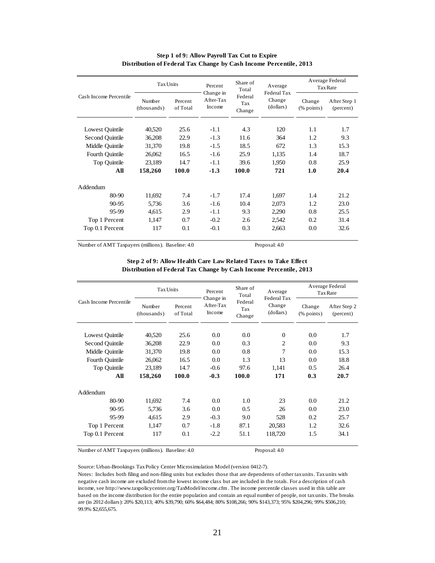| Cash Income Percentile | <b>Tax Units</b>      |                     | Percent                          | Share of<br>Total        | Average<br>Federal Tax | Average Federal<br>Tax Rate |                           |
|------------------------|-----------------------|---------------------|----------------------------------|--------------------------|------------------------|-----------------------------|---------------------------|
|                        | Number<br>(thousands) | Percent<br>of Total | Change in<br>After-Tax<br>Income | Federal<br>Tax<br>Change | Change<br>(dollars)    | Change<br>$%$ points)       | After Step 1<br>(percent) |
| Lowest Quintile        | 40,520                | 25.6                | $-1.1$                           | 4.3                      | 120                    | 1.1                         | 1.7                       |
| Second Ouintile        | 36,208                | 22.9                | $-1.3$                           | 11.6                     | 364                    | 1.2                         | 9.3                       |
| Middle Ouintile        | 31,370                | 19.8                | $-1.5$                           | 18.5                     | 672                    | 1.3                         | 15.3                      |
| Fourth Quintile        | 26,062                | 16.5                | $-1.6$                           | 25.9                     | 1,135                  | 1.4                         | 18.7                      |
| Top Quintile           | 23,189                | 14.7                | $-1.1$                           | 39.6                     | 1,950                  | 0.8                         | 25.9                      |
| All                    | 158,260               | 100.0               | $-1.3$                           | 100.0                    | 721                    | 1.0                         | 20.4                      |
| Addendum               |                       |                     |                                  |                          |                        |                             |                           |
| 80-90                  | 11,692                | 7.4                 | $-1.7$                           | 17.4                     | 1,697                  | 1.4                         | 21.2.                     |
| $90 - 95$              | 5,736                 | 3.6                 | $-1.6$                           | 10.4                     | 2,073                  | 1.2.                        | 23.0                      |
| 95-99                  | 4,615                 | 2.9                 | $-1.1$                           | 9.3                      | 2,290                  | 0.8                         | 25.5                      |
| Top 1 Percent          | 1,147                 | 0.7                 | $-0.2$                           | 2.6                      | 2,542                  | 0.2                         | 31.4                      |
| Top 0.1 Percent        | 117                   | 0.1                 | $-0.1$                           | 0.3                      | 2,663                  | 0.0                         | 32.6                      |

### **Step 1 of 9: Allow Payroll Tax Cut to Expire Distribution of Federal Tax Change by Cash Income Percentile, 2013**

Number of AMT Taxpayers (millions). Baseline: 4.0 Proposal: 4.0

| Step 2 of 9: Allow Health Care Law Related Taxes to Take Effect    |  |  |
|--------------------------------------------------------------------|--|--|
| Distribution of Federal Tax Change by Cash Income Percentile, 2013 |  |  |

| Cash Income Percentile | <b>Tax Units</b>      |                     | Share of<br>Percent<br>Total<br>Change in |                          | Average<br>Federal Tax | Average Federal<br><b>Tax Rate</b> |                           |
|------------------------|-----------------------|---------------------|-------------------------------------------|--------------------------|------------------------|------------------------------------|---------------------------|
|                        | Number<br>(thousands) | Percent<br>of Total | After-Tax<br>Income                       | Federal<br>Tax<br>Change | Change<br>(dollars)    | Change<br>$%$ points)              | After Step 2<br>(percent) |
| Lowest Ouintile        | 40,520                | 25.6                | 0.0                                       | 0.0                      | $\Omega$               | 0.0                                | 1.7                       |
| Second Ouintile        | 36,208                | 22.9                | 0.0                                       | 0.3                      | $\overline{2}$         | $0.0^{\circ}$                      | 9.3                       |
| Middle Ouintile        | 31,370                | 19.8                | 0.0                                       | 0.8                      | 7                      | 0.0                                | 15.3                      |
| Fourth Quintile        | 26,062                | 16.5                | 0.0                                       | 1.3                      | 13                     | 0.0                                | 18.8                      |
| Top Quintile           | 23,189                | 14.7                | $-0.6$                                    | 97.6                     | 1,141                  | 0.5                                | 26.4                      |
| All                    | 158,260               | 100.0               | $-0.3$                                    | 100.0                    | 171                    | 0.3                                | 20.7                      |
| Addendum               |                       |                     |                                           |                          |                        |                                    |                           |
| $80-90$                | 11,692                | 7.4                 | 0.0                                       | 1.0                      | 23                     | 0.0                                | 21.2                      |
| 90-95                  | 5,736                 | 3.6                 | 0.0                                       | 0.5                      | 26                     | 0.0                                | 23.0                      |
| 95-99                  | 4,615                 | 2.9                 | $-0.3$                                    | 9.0                      | 528                    | 0.2                                | 25.7                      |
| Top 1 Percent          | 1,147                 | 0.7                 | $-1.8$                                    | 87.1                     | 20.583                 | 1.2                                | 32.6                      |
| Top 0.1 Percent        | 117                   | 0.1                 | $-2.2$                                    | 51.1                     | 118,720                | 1.5                                | 34.1                      |

Number of AMT Taxpayers (millions). Baseline: 4.0 Proposal: 4.0

Source: Urban-Brookings Tax Policy Center Microsimulation Model (version 0412-7).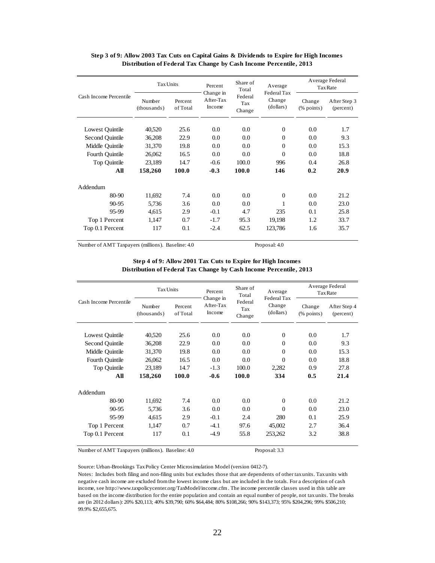| Cash Income Percentile | <b>Tax Units</b>      |                     | Percent                          | Share of<br>Total        |                                    | Average Federal<br>Tax Rate |                           |
|------------------------|-----------------------|---------------------|----------------------------------|--------------------------|------------------------------------|-----------------------------|---------------------------|
|                        | Number<br>(thousands) | Percent<br>of Total | Change in<br>After-Tax<br>Income | Federal<br>Tax<br>Change | Federal Tax<br>Change<br>(dollars) | Change<br>$%$ points)       | After Step 3<br>(percent) |
| Lowest Quintile        | 40,520                | 25.6                | 0.0                              | 0.0                      | $\Omega$                           | 0.0                         | 1.7                       |
| Second Ouintile        | 36,208                | 22.9                | 0.0                              | 0.0                      | $\Omega$                           | 0.0                         | 9.3                       |
| Middle Ouintile        | 31.370                | 19.8                | 0.0                              | 0.0                      | $\Omega$                           | 0.0                         | 15.3                      |
| Fourth Quintile        | 26,062                | 16.5                | 0.0                              | 0.0                      | $\Omega$                           | 0.0                         | 18.8                      |
| Top Quintile           | 23,189                | 14.7                | $-0.6$                           | 100.0                    | 996                                | 0.4                         | 26.8                      |
| All                    | 158,260               | 100.0               | $-0.3$                           | 100.0                    | 146                                | 0.2                         | 20.9                      |
| Addendum               |                       |                     |                                  |                          |                                    |                             |                           |
| 80-90                  | 11,692                | 7.4                 | 0.0                              | 0.0                      | $\Omega$                           | 0.0                         | 21.2                      |
| $90 - 95$              | 5.736                 | 3.6                 | 0.0                              | 0.0                      |                                    | 0.0                         | 23.0                      |
| 95-99                  | 4,615                 | 2.9                 | $-0.1$                           | 4.7                      | 235                                | 0.1                         | 25.8                      |
| Top 1 Percent          | 1,147                 | 0.7                 | $-1.7$                           | 95.3                     | 19,198                             | 1.2                         | 33.7                      |
| Top 0.1 Percent        | 117                   | 0.1                 | $-2.4$                           | 62.5                     | 123.786                            | 1.6                         | 35.7                      |

### **Step 3 of 9: Allow 2003 Tax Cuts on Capital Gains & Dividends to Expire for High Incomes Distribution of Federal Tax Change by Cash Income Percentile, 2013**

Number of AMT Taxpayers (millions). Baseline: 4.0 Proposal: 4.0

| Step 4 of 9: Allow 2001 Tax Cuts to Expire for High Incomes        |  |
|--------------------------------------------------------------------|--|
| Distribution of Federal Tax Change by Cash Income Percentile, 2013 |  |

| Cash Income Percentile | <b>Tax Units</b>      |                     | Share of<br>Percent<br>Total     | Average<br>Federal Tax   | Average Federal<br>Tax Rate |                         |                           |
|------------------------|-----------------------|---------------------|----------------------------------|--------------------------|-----------------------------|-------------------------|---------------------------|
|                        | Number<br>(thousands) | Percent<br>of Total | Change in<br>After-Tax<br>Income | Federal<br>Tax<br>Change | Change<br>(dollars)         | Change<br>$(\%$ points) | After Step 4<br>(percent) |
| Lowest Quintile        | 40,520                | 25.6                | 0.0                              | 0.0                      | $\Omega$                    | 0.0                     | 1.7                       |
| Second Ouintile        | 36,208                | 22.9                | 0.0                              | 0.0                      | $\Omega$                    | 0.0                     | 9.3                       |
| Middle Ouintile        | 31,370                | 19.8                | 0.0                              | 0.0                      | $\Omega$                    | 0.0                     | 15.3                      |
| Fourth Quintile        | 26,062                | 16.5                | 0.0                              | 0.0                      | $\Omega$                    | 0.0                     | 18.8                      |
| Top Quintile           | 23,189                | 14.7                | $-1.3$                           | 100.0                    | 2,282                       | 0.9                     | 27.8                      |
| All                    | 158,260               | 100.0               | $-0.6$                           | 100.0                    | 334                         | 0.5                     | 21.4                      |
| Addendum               |                       |                     |                                  |                          |                             |                         |                           |
| 80-90                  | 11,692                | 7.4                 | 0.0                              | 0.0                      | $\Omega$                    | $0.0^{\circ}$           | 21.2.                     |
| 90-95                  | 5,736                 | 3.6                 | 0.0                              | 0.0                      | $\Omega$                    | 0.0                     | 23.0                      |
| 95-99                  | 4,615                 | 2.9                 | $-0.1$                           | 2.4                      | 280                         | 0.1                     | 25.9                      |
| Top 1 Percent          | 1,147                 | 0.7                 | $-4.1$                           | 97.6                     | 45,002                      | 2.7                     | 36.4                      |
| Top 0.1 Percent        | 117                   | 0.1                 | $-4.9$                           | 55.8                     | 253,262                     | 3.2                     | 38.8                      |

Number of AMT Taxpayers (millions). Baseline: 4.0 Proposal: 3.3

Source: Urban-Brookings Tax Policy Center Microsimulation Model (version 0412-7).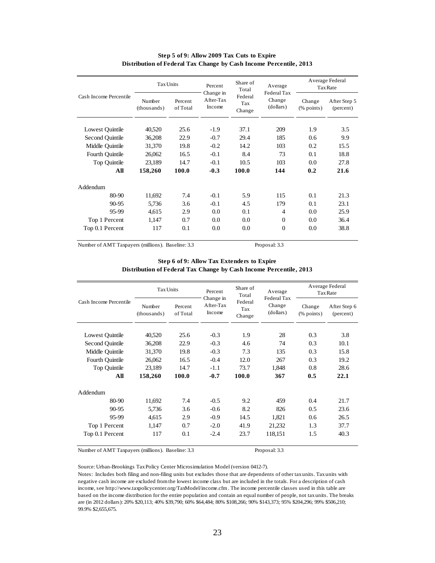| Cash Income Percentile | <b>Tax Units</b>      |                     | Share of<br>Percent<br>Total     | Average<br>Federal Tax   | Average Federal<br>Tax Rate |                         |                           |
|------------------------|-----------------------|---------------------|----------------------------------|--------------------------|-----------------------------|-------------------------|---------------------------|
|                        | Number<br>(thousands) | Percent<br>of Total | Change in<br>After-Tax<br>Income | Federal<br>Tax<br>Change | Change<br>(dollars)         | Change<br>$(\%$ points) | After Step 5<br>(percent) |
| Lowest Ouintile        | 40,520                | 25.6                | $-1.9$                           | 37.1                     | 209                         | 1.9                     | 3.5                       |
| Second Ouintile        | 36,208                | 22.9                | $-0.7$                           | 29.4                     | 185                         | 0.6                     | 9.9                       |
| Middle Ouintile        | 31,370                | 19.8                | $-0.2$                           | 14.2                     | 103                         | 0.2                     | 15.5                      |
| Fourth Quintile        | 26,062                | 16.5                | $-0.1$                           | 8.4                      | 73                          | 0.1                     | 18.8                      |
| Top Quintile           | 23,189                | 14.7                | $-0.1$                           | 10.5                     | 103                         | 0.0                     | 27.8                      |
| All                    | 158,260               | 100.0               | $-0.3$                           | 100.0                    | 144                         | 0.2                     | 21.6                      |
| Addendum               |                       |                     |                                  |                          |                             |                         |                           |
| 80-90                  | 11,692                | 7.4                 | $-0.1$                           | 5.9                      | 115                         | 0.1                     | 21.3                      |
| 90-95                  | 5,736                 | 3.6                 | $-0.1$                           | 4.5                      | 179                         | 0.1                     | 23.1                      |
| 95-99                  | 4,615                 | 2.9                 | 0.0                              | 0.1                      | 4                           | 0.0                     | 25.9                      |
| Top 1 Percent          | 1,147                 | 0.7                 | 0.0                              | 0.0                      | $\Omega$                    | 0.0                     | 36.4                      |
| Top 0.1 Percent        | 117                   | 0.1                 | 0.0                              | 0.0                      | $\Omega$                    | 0.0                     | 38.8                      |

### **Step 5 of 9: Allow 2009 Tax Cuts to Expire Distribution of Federal Tax Change by Cash Income Percentile, 2013**

Number of AMT Taxpayers (millions). Baseline: 3.3 Proposal: 3.3

| Step 6 of 9: Allow Tax Extenders to Expire                         |  |
|--------------------------------------------------------------------|--|
| Distribution of Federal Tax Change by Cash Income Percentile, 2013 |  |

| Cash Income Percentile | <b>Tax Units</b>      |                     | Percent<br>Change in | Share of<br>Total        | Average<br>Federal Tax | Average Federal<br><b>Tax Rate</b>   |                           |
|------------------------|-----------------------|---------------------|----------------------|--------------------------|------------------------|--------------------------------------|---------------------------|
|                        | Number<br>(thousands) | Percent<br>of Total | After-Tax<br>Income  | Federal<br>Tax<br>Change | Change<br>(dollars)    | Change<br>$(% \mathbf{p}$ (% points) | After Step 6<br>(percent) |
| Lowest Quintile        | 40,520                | 25.6                | $-0.3$               | 1.9                      | 28                     | 0.3                                  | 3.8                       |
| Second Ouintile        | 36,208                | 22.9                | $-0.3$               | 4.6                      | 74                     | 0.3                                  | 10.1                      |
| Middle Ouintile        | 31,370                | 19.8                | $-0.3$               | 7.3                      | 135                    | 0.3                                  | 15.8                      |
| Fourth Ouintile        | 26,062                | 16.5                | $-0.4$               | 12.0                     | 267                    | 0.3                                  | 19.2                      |
| Top Quintile           | 23,189                | 14.7                | $-1.1$               | 73.7                     | 1,848                  | 0.8                                  | 28.6                      |
| All                    | 158,260               | 100.0               | $-0.7$               | 100.0                    | 367                    | 0.5                                  | 22.1                      |
| Addendum               |                       |                     |                      |                          |                        |                                      |                           |
| 80-90                  | 11,692                | 7.4                 | $-0.5$               | 9.2                      | 459                    | 0.4                                  | 21.7                      |
| 90-95                  | 5,736                 | 3.6                 | $-0.6$               | 8.2                      | 826                    | 0.5                                  | 23.6                      |
| 95-99                  | 4,615                 | 2.9                 | $-0.9$               | 14.5                     | 1,821                  | 0.6                                  | 26.5                      |
| Top 1 Percent          | 1,147                 | 0.7                 | $-2.0$               | 41.9                     | 21,232                 | 1.3                                  | 37.7                      |
| Top 0.1 Percent        | 117                   | 0.1                 | $-2.4$               | 23.7                     | 118,151                | 1.5                                  | 40.3                      |
|                        |                       |                     |                      |                          |                        |                                      |                           |

Number of AMT Taxpayers (millions). Baseline: 3.3 Proposal: 3.3

Source: Urban-Brookings Tax Policy Center Microsimulation Model (version 0412-7).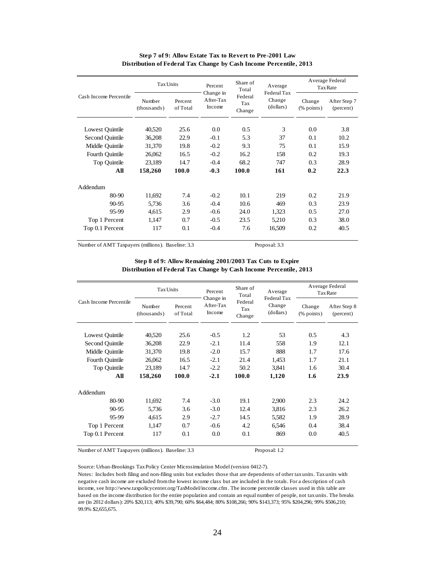| Cash Income Percentile | <b>Tax Units</b>      |                     | Share of<br>Percent<br>Total<br>Change in |                          | Average<br>Federal Tax | Average Federal<br>Tax Rate |                           |
|------------------------|-----------------------|---------------------|-------------------------------------------|--------------------------|------------------------|-----------------------------|---------------------------|
|                        | Number<br>(thousands) | Percent<br>of Total | After-Tax<br>Income                       | Federal<br>Tax<br>Change | Change<br>(dollars)    | Change<br>$(\%$ points)     | After Step 7<br>(percent) |
| Lowest Quintile        | 40,520                | 25.6                | 0.0                                       | 0.5                      | $\mathcal{R}$          | 0.0                         | 3.8                       |
| Second Ouintile        | 36,208                | 22.9                | $-0.1$                                    | 5.3                      | 37                     | 0.1                         | 10.2                      |
| Middle Ouintile        | 31,370                | 19.8                | $-0.2$                                    | 9.3                      | 75                     | 0.1                         | 15.9                      |
| Fourth Quintile        | 26,062                | 16.5                | $-0.2$                                    | 16.2                     | 158                    | 0.2                         | 19.3                      |
| Top Quintile           | 23,189                | 14.7                | $-0.4$                                    | 68.2                     | 747                    | 0.3                         | 28.9                      |
| All                    | 158,260               | 100.0               | $-0.3$                                    | 100.0                    | 161                    | 0.2                         | 22.3                      |
| Addendum               |                       |                     |                                           |                          |                        |                             |                           |
| 80-90                  | 11,692                | 7.4                 | $-0.2$                                    | 10.1                     | 219                    | 0.2                         | 21.9                      |
| $90 - 95$              | 5.736                 | 3.6                 | $-0.4$                                    | 10.6                     | 469                    | 0.3                         | 23.9                      |
| 95-99                  | 4,615                 | 2.9                 | $-0.6$                                    | 24.0                     | 1,323                  | 0.5                         | 27.0                      |
| Top 1 Percent          | 1.147                 | 0.7                 | $-0.5$                                    | 23.5                     | 5,210                  | 0.3                         | 38.0                      |
| Top 0.1 Percent        | 117                   | 0.1                 | $-0.4$                                    | 7.6                      | 16,509                 | 0.2                         | 40.5                      |

#### **Step 7 of 9: Allow Estate Tax to Revert to Pre-2001 Law Distribution of Federal Tax Change by Cash Income Percentile, 2013**

Number of AMT Taxpayers (millions). Baseline: 3.3 Proposal: 3.3

### **Step 8 of 9: Allow Remaining 2001/2003 Tax Cuts to Expire Distribution of Federal Tax Change by Cash Income Percentile, 2013**

| Cash Income Percentile | <b>Tax Units</b>      |                     | Percent                          | Share of<br>Total        | Average<br>Federal Tax | Average Federal<br><b>Tax Rate</b>                  |                           |
|------------------------|-----------------------|---------------------|----------------------------------|--------------------------|------------------------|-----------------------------------------------------|---------------------------|
|                        | Number<br>(thousands) | Percent<br>of Total | Change in<br>After-Tax<br>Income | Federal<br>Tax<br>Change | Change<br>(dollars)    | Change<br>$(% \mathcal{L}_{0}^{\infty})$ (% points) | After Step 8<br>(percent) |
| Lowest Quintile        | 40,520                | 25.6                | $-0.5$                           | 1.2                      | 53                     | $0.5^{\circ}$                                       | 4.3                       |
| Second Ouintile        | 36.208                | 22.9                | $-2.1$                           | 11.4                     | 558                    | 1.9                                                 | 12.1                      |
| Middle Ouintile        | 31.370                | 19.8                | $-2.0$                           | 15.7                     | 888                    | 1.7                                                 | 17.6                      |
| Fourth Quintile        | 26,062                | 16.5                | $-2.1$                           | 21.4                     | 1,453                  | 1.7                                                 | 21.1                      |
| Top Quintile           | 23,189                | 14.7                | $-2.2$                           | 50.2                     | 3,841                  | 1.6                                                 | 30.4                      |
| All                    | 158,260               | 100.0               | $-2.1$                           | 100.0                    | 1,120                  | 1.6                                                 | 23.9                      |
| Addendum               |                       |                     |                                  |                          |                        |                                                     |                           |
| $80-90$                | 11,692                | 7.4                 | $-3.0$                           | 19.1                     | 2.900                  | 2.3                                                 | 24.2                      |
| $90 - 95$              | 5.736                 | 3.6                 | $-3.0$                           | 12.4                     | 3.816                  | 2.3                                                 | 26.2                      |
| 95-99                  | 4,615                 | 2.9                 | $-2.7$                           | 14.5                     | 5,582                  | 1.9                                                 | 28.9                      |
| Top 1 Percent          | 1,147                 | 0.7                 | $-0.6$                           | 4.2                      | 6,546                  | 0.4                                                 | 38.4                      |
| Top 0.1 Percent        | 117                   | 0.1                 | 0.0                              | 0.1                      | 869                    | 0.0                                                 | 40.5                      |

Number of AMT Taxpayers (millions). Baseline: 3.3 Proposal: 1.2

Source: Urban-Brookings Tax Policy Center Microsimulation Model (version 0412-7).